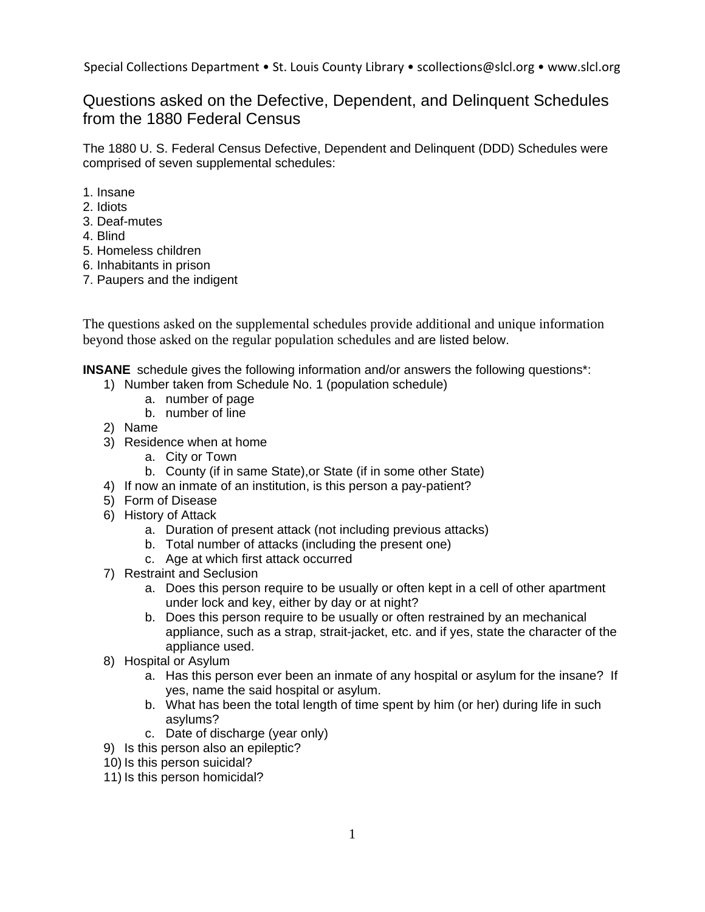## Questions asked on the Defective, Dependent, and Delinquent Schedules from the 1880 Federal Census

The 1880 U. S. Federal Census Defective, Dependent and Delinquent (DDD) Schedules were comprised of seven supplemental schedules:

- 1. Insane
- 2. Idiots
- 3. Deaf-mutes
- 4. Blind
- 5. Homeless children
- 6. Inhabitants in prison
- 7. Paupers and the indigent

The questions asked on the supplemental schedules provide additional and unique information beyond those asked on the regular population schedules and are listed below.

**INSANE** schedule gives the following information and/or answers the following questions\*:

- 1) Number taken from Schedule No. 1 (population schedule)
	- a. number of page
	- b. number of line
- 2) Name
- 3) Residence when at home
	- a. City or Town
	- b. County (if in same State),or State (if in some other State)
- 4) If now an inmate of an institution, is this person a pay-patient?
- 5) Form of Disease
- 6) History of Attack
	- a. Duration of present attack (not including previous attacks)
	- b. Total number of attacks (including the present one)
	- c. Age at which first attack occurred
- 7) Restraint and Seclusion
	- a. Does this person require to be usually or often kept in a cell of other apartment under lock and key, either by day or at night?
	- b. Does this person require to be usually or often restrained by an mechanical appliance, such as a strap, strait-jacket, etc. and if yes, state the character of the appliance used.
- 8) Hospital or Asylum
	- a. Has this person ever been an inmate of any hospital or asylum for the insane? If yes, name the said hospital or asylum.
	- b. What has been the total length of time spent by him (or her) during life in such asylums?
	- c. Date of discharge (year only)
- 9) Is this person also an epileptic?
- 10) Is this person suicidal?
- 11) Is this person homicidal?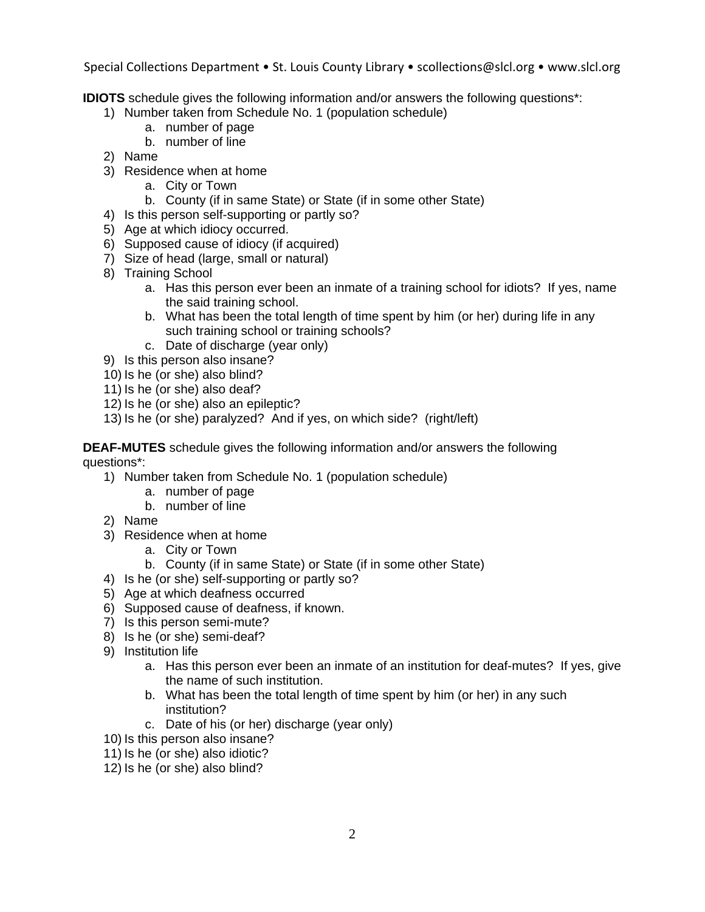**IDIOTS** schedule gives the following information and/or answers the following questions\*:

- 1) Number taken from Schedule No. 1 (population schedule)
	- a. number of page
	- b. number of line
- 2) Name
- 3) Residence when at home
	- a. City or Town
	- b. County (if in same State) or State (if in some other State)
- 4) Is this person self-supporting or partly so?
- 5) Age at which idiocy occurred.
- 6) Supposed cause of idiocy (if acquired)
- 7) Size of head (large, small or natural)
- 8) Training School
	- a. Has this person ever been an inmate of a training school for idiots? If yes, name the said training school.
	- b. What has been the total length of time spent by him (or her) during life in any such training school or training schools?
	- c. Date of discharge (year only)
- 9) Is this person also insane?
- 10) Is he (or she) also blind?
- 11) Is he (or she) also deaf?
- 12) Is he (or she) also an epileptic?
- 13) Is he (or she) paralyzed? And if yes, on which side? (right/left)

**DEAF-MUTES** schedule gives the following information and/or answers the following questions\*:

- 1) Number taken from Schedule No. 1 (population schedule)
	- a. number of page
	- b. number of line
- 2) Name
- 3) Residence when at home
	- a. City or Town
	- b. County (if in same State) or State (if in some other State)
- 4) Is he (or she) self-supporting or partly so?
- 5) Age at which deafness occurred
- 6) Supposed cause of deafness, if known.
- 7) Is this person semi-mute?
- 8) Is he (or she) semi-deaf?
- 9) Institution life
	- a. Has this person ever been an inmate of an institution for deaf-mutes? If yes, give the name of such institution.
	- b. What has been the total length of time spent by him (or her) in any such institution?
	- c. Date of his (or her) discharge (year only)
- 10) Is this person also insane?
- 11) Is he (or she) also idiotic?
- 12) Is he (or she) also blind?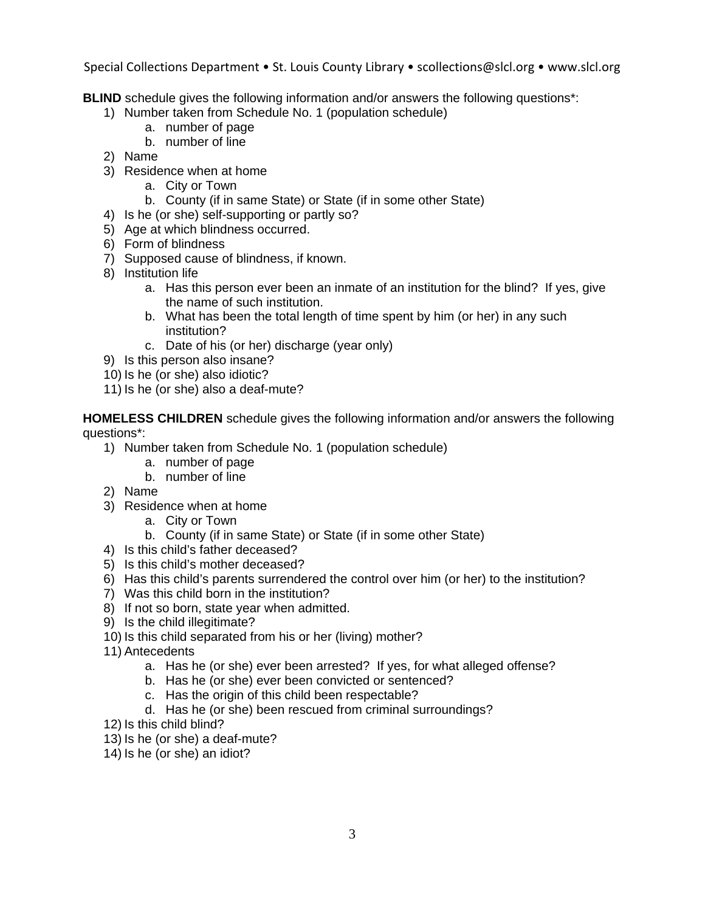**BLIND** schedule gives the following information and/or answers the following questions\*:

- 1) Number taken from Schedule No. 1 (population schedule)
	- a. number of page
	- b. number of line
- 2) Name
- 3) Residence when at home
	- a. City or Town
	- b. County (if in same State) or State (if in some other State)
- 4) Is he (or she) self-supporting or partly so?
- 5) Age at which blindness occurred.
- 6) Form of blindness
- 7) Supposed cause of blindness, if known.
- 8) Institution life
	- a. Has this person ever been an inmate of an institution for the blind? If yes, give the name of such institution.
	- b. What has been the total length of time spent by him (or her) in any such institution?
	- c. Date of his (or her) discharge (year only)
- 9) Is this person also insane?
- 10) Is he (or she) also idiotic?
- 11) Is he (or she) also a deaf-mute?

**HOMELESS CHILDREN** schedule gives the following information and/or answers the following questions\*:

- 1) Number taken from Schedule No. 1 (population schedule)
	- a. number of page
	- b. number of line
- 2) Name
- 3) Residence when at home
	- a. City or Town
	- b. County (if in same State) or State (if in some other State)
- 4) Is this child's father deceased?
- 5) Is this child's mother deceased?
- 6) Has this child's parents surrendered the control over him (or her) to the institution?
- 7) Was this child born in the institution?
- 8) If not so born, state year when admitted.
- 9) Is the child illegitimate?
- 10) Is this child separated from his or her (living) mother?
- 11) Antecedents
	- a. Has he (or she) ever been arrested? If yes, for what alleged offense?
	- b. Has he (or she) ever been convicted or sentenced?
	- c. Has the origin of this child been respectable?
	- d. Has he (or she) been rescued from criminal surroundings?
- 12) Is this child blind?
- 13) Is he (or she) a deaf-mute?
- 14) Is he (or she) an idiot?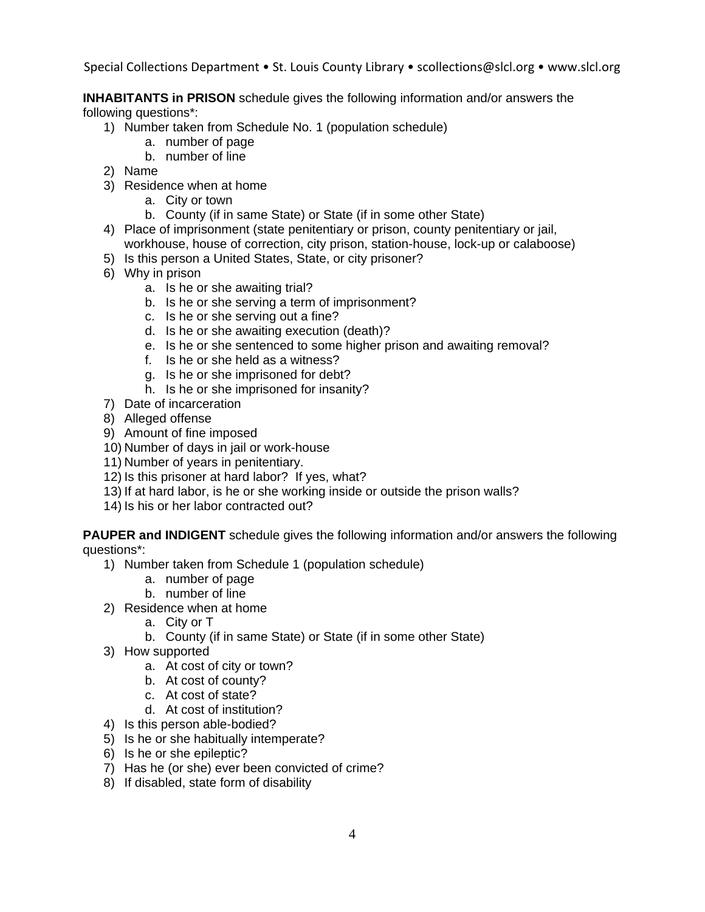**INHABITANTS in PRISON** schedule gives the following information and/or answers the following questions\*:

- 1) Number taken from Schedule No. 1 (population schedule)
	- a. number of page
	- b. number of line
- 2) Name
- 3) Residence when at home
	- a. City or town
	- b. County (if in same State) or State (if in some other State)
- 4) Place of imprisonment (state penitentiary or prison, county penitentiary or jail, workhouse, house of correction, city prison, station-house, lock-up or calaboose)
- 5) Is this person a United States, State, or city prisoner?
- 6) Why in prison
	- a. Is he or she awaiting trial?
	- b. Is he or she serving a term of imprisonment?
	- c. Is he or she serving out a fine?
	- d. Is he or she awaiting execution (death)?
	- e. Is he or she sentenced to some higher prison and awaiting removal?
	- f. Is he or she held as a witness?
	- g. Is he or she imprisoned for debt?
	- h. Is he or she imprisoned for insanity?
- 7) Date of incarceration
- 8) Alleged offense
- 9) Amount of fine imposed
- 10) Number of days in jail or work-house
- 11) Number of years in penitentiary.
- 12) Is this prisoner at hard labor? If yes, what?
- 13) If at hard labor, is he or she working inside or outside the prison walls?
- 14) Is his or her labor contracted out?

**PAUPER and INDIGENT** schedule gives the following information and/or answers the following questions\*:

- 1) Number taken from Schedule 1 (population schedule)
	- a. number of page
	- b. number of line
- 2) Residence when at home
	- a. City or T
	- b. County (if in same State) or State (if in some other State)
- 3) How supported
	- a. At cost of city or town?
	- b. At cost of county?
	- c. At cost of state?
	- d. At cost of institution?
- 4) Is this person able-bodied?
- 5) Is he or she habitually intemperate?
- 6) Is he or she epileptic?
- 7) Has he (or she) ever been convicted of crime?
- 8) If disabled, state form of disability